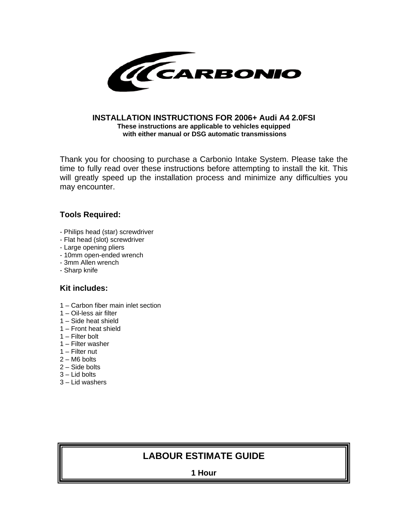

## **INSTALLATION INSTRUCTIONS FOR 2006+ Audi A4 2.0FSI These instructions are applicable to vehicles equipped with either manual or DSG automatic transmissions**

Thank you for choosing to purchase a Carbonio Intake System. Please take the time to fully read over these instructions before attempting to install the kit. This will greatly speed up the installation process and minimize any difficulties you may encounter.

## **Tools Required:**

- Philips head (star) screwdriver
- Flat head (slot) screwdriver
- Large opening pliers
- 10mm open-ended wrench
- 3mm Allen wrench
- Sharp knife

## **Kit includes:**

- 1 Carbon fiber main inlet section
- 1 Oil-less air filter
- 1 Side heat shield
- 1 Front heat shield
- 1 Filter bolt
- 1 Filter washer
- 1 Filter nut
- 2 M6 bolts
- 2 Side bolts
- 3 Lid bolts
- 3 Lid washers

# **LABOUR ESTIMATE GUIDE**

**1 Hour**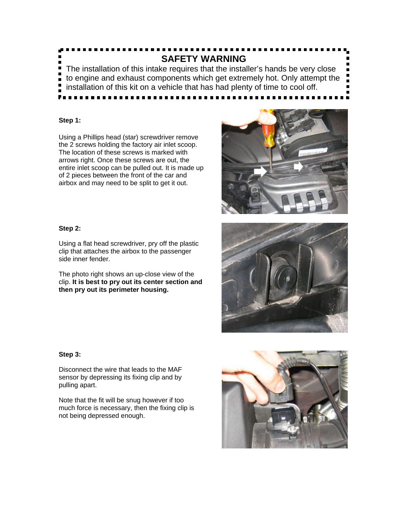

## **Step 1:**

Using a Phillips head (star) screwdriver remove the 2 screws holding the factory air inlet scoop. The location of these screws is marked with arrows right. Once these screws are out, the entire inlet scoop can be pulled out. It is made up of 2 pieces between the front of the car and airbox and may need to be split to get it out.



Using a flat head screwdriver, pry off the plastic clip that attaches the airbox to the passenger side inner fender.

The photo right shows an up-close view of the clip. **It is best to pry out its center section and then pry out its perimeter housing.**





#### **Step 3:**

Disconnect the wire that leads to the MAF sensor by depressing its fixing clip and by pulling apart.

Note that the fit will be snug however if too much force is necessary, then the fixing clip is not being depressed enough.

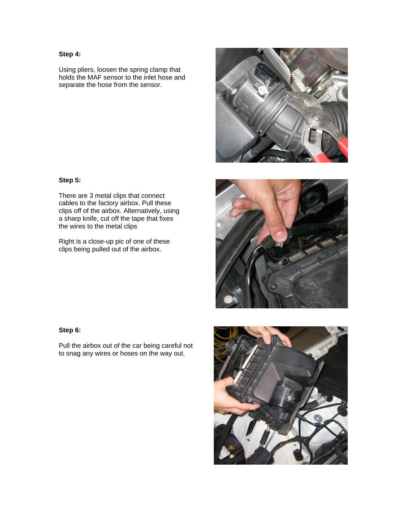## **Step 4:**

Using pliers, loosen the spring clamp that holds the MAF sensor to the inlet hose and separate the hose from the sensor.



# **Step 5:**

There are 3 metal clips that connect cables to the factory airbox. Pull these clips off of the airbox. Alternatively, using a sharp knife, cut off the tape that fixes the wires to the metal clips

Right is a close-up pic of one of these clips being pulled out of the airbox.



## **Step 6:**

Pull the airbox out of the car being careful not to snag any wires or hoses on the way out.

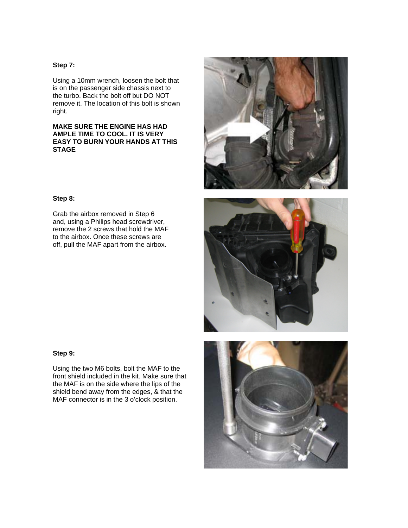### **Step 7:**

Using a 10mm wrench, loosen the bolt that is on the passenger side chassis next to the turbo. Back the bolt off but DO NOT remove it. The location of this bolt is shown right.

## **MAKE SURE THE ENGINE HAS HAD AMPLE TIME TO COOL. IT IS VERY EASY TO BURN YOUR HANDS AT THIS STAGE**



## **Step 8:**

Grab the airbox removed in Step 6 and, using a Philips head screwdriver, remove the 2 screws that hold the MAF to the airbox. Once these screws are off, pull the MAF apart from the airbox.



## **Step 9:**

Using the two M6 bolts, bolt the MAF to the front shield included in the kit. Make sure that the MAF is on the side where the lips of the shield bend away from the edges, & that the MAF connector is in the 3 o'clock position.

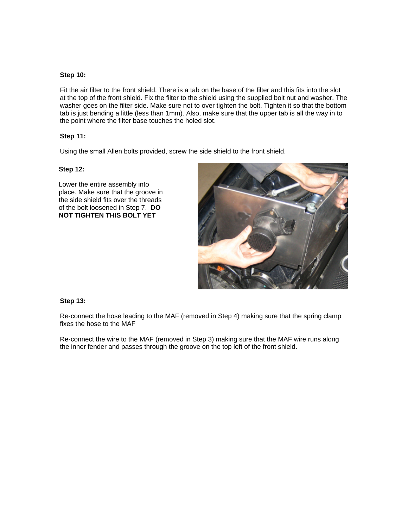### **Step 10:**

Fit the air filter to the front shield. There is a tab on the base of the filter and this fits into the slot at the top of the front shield. Fix the filter to the shield using the supplied bolt nut and washer. The washer goes on the filter side. Make sure not to over tighten the bolt. Tighten it so that the bottom tab is just bending a little (less than 1mm). Also, make sure that the upper tab is all the way in to the point where the filter base touches the holed slot.

### **Step 11:**

Using the small Allen bolts provided, screw the side shield to the front shield.

#### **Step 12:**

Lower the entire assembly into place. Make sure that the groove in the side shield fits over the threads of the bolt loosened in Step 7. **DO NOT TIGHTEN THIS BOLT YET**



### **Step 13:**

Re-connect the hose leading to the MAF (removed in Step 4) making sure that the spring clamp fixes the hose to the MAF

Re-connect the wire to the MAF (removed in Step 3) making sure that the MAF wire runs along the inner fender and passes through the groove on the top left of the front shield.